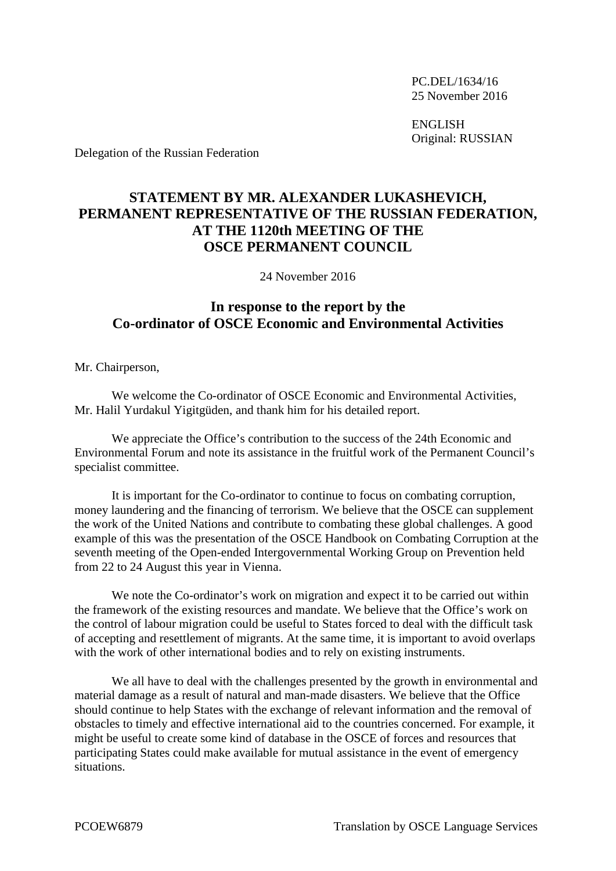PC.DEL/1634/16 25 November 2016

ENGLISH Original: RUSSIAN

Delegation of the Russian Federation

## **STATEMENT BY MR. ALEXANDER LUKASHEVICH, PERMANENT REPRESENTATIVE OF THE RUSSIAN FEDERATION, AT THE 1120th MEETING OF THE OSCE PERMANENT COUNCIL**

24 November 2016

## **In response to the report by the Co-ordinator of OSCE Economic and Environmental Activities**

Mr. Chairperson,

We welcome the Co-ordinator of OSCE Economic and Environmental Activities, Mr. Halil Yurdakul Yigitgüden, and thank him for his detailed report.

We appreciate the Office's contribution to the success of the 24th Economic and Environmental Forum and note its assistance in the fruitful work of the Permanent Council's specialist committee.

It is important for the Co-ordinator to continue to focus on combating corruption, money laundering and the financing of terrorism. We believe that the OSCE can supplement the work of the United Nations and contribute to combating these global challenges. A good example of this was the presentation of the OSCE Handbook on Combating Corruption at the seventh meeting of the Open-ended Intergovernmental Working Group on Prevention held from 22 to 24 August this year in Vienna.

We note the Co-ordinator's work on migration and expect it to be carried out within the framework of the existing resources and mandate. We believe that the Office's work on the control of labour migration could be useful to States forced to deal with the difficult task of accepting and resettlement of migrants. At the same time, it is important to avoid overlaps with the work of other international bodies and to rely on existing instruments.

We all have to deal with the challenges presented by the growth in environmental and material damage as a result of natural and man-made disasters. We believe that the Office should continue to help States with the exchange of relevant information and the removal of obstacles to timely and effective international aid to the countries concerned. For example, it might be useful to create some kind of database in the OSCE of forces and resources that participating States could make available for mutual assistance in the event of emergency situations.